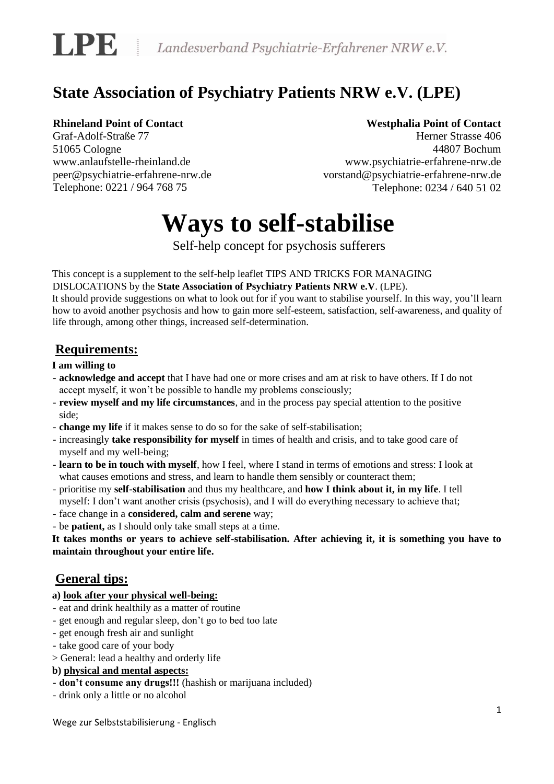

# **State Association of Psychiatry Patients NRW e.V. (LPE)**

## **Rhineland Point of Contact**

Graf-Adolf-Straße 77 51065 Cologne www.anlaufstelle-rheinland.de peer@psychiatrie-erfahrene-nrw.de Telephone: 0221 / 964 768 75

## **Westphalia Point of Contact**

Herner Strasse 406 44807 Bochum www.psychiatrie-erfahrene-nrw.de vorstand@psychiatrie-erfahrene-nrw.de Telephone: 0234 / 640 51 02

# **Ways to self-stabilise**

Self-help concept for psychosis sufferers

This concept is a supplement to the self-help leaflet TIPS AND TRICKS FOR MANAGING DISLOCATIONS by the **State Association of Psychiatry Patients NRW e.V**. (LPE).

It should provide suggestions on what to look out for if you want to stabilise yourself. In this way, you'll learn how to avoid another psychosis and how to gain more self-esteem, satisfaction, self-awareness, and quality of life through, among other things, increased self-determination.

# **Requirements:**

#### **I am willing to**

- **acknowledge and accept** that I have had one or more crises and am at risk to have others. If I do not accept myself, it won't be possible to handle my problems consciously;
- **review myself and my life circumstances**, and in the process pay special attention to the positive side;
- **change my life** if it makes sense to do so for the sake of self-stabilisation;
- increasingly **take responsibility for myself** in times of health and crisis, and to take good care of myself and my well-being;
- **learn to be in touch with myself**, how I feel, where I stand in terms of emotions and stress: I look at what causes emotions and stress, and learn to handle them sensibly or counteract them;
- prioritise my **self-stabilisation** and thus my healthcare, and **how I think about it, in my life**. I tell myself: I don't want another crisis (psychosis), and I will do everything necessary to achieve that;
- face change in a **considered, calm and serene** way;
- be **patient,** as I should only take small steps at a time.

**It takes months or years to achieve self-stabilisation. After achieving it, it is something you have to maintain throughout your entire life.** 

# **General tips:**

#### **a) look after your physical well-being:**

- eat and drink healthily as a matter of routine
- get enough and regular sleep, don't go to bed too late
- get enough fresh air and sunlight
- take good care of your body
- > General: lead a healthy and orderly life

#### **b) physical and mental aspects:**

- **don't consume any drugs!!!** (hashish or marijuana included)
- drink only a little or no alcohol

Wege zur Selbststabilisierung - Englisch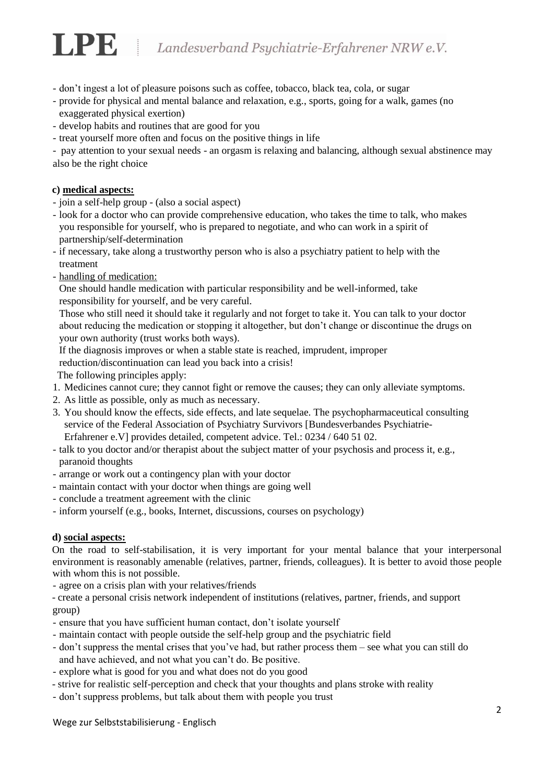# LPE Landesverband Psychiatrie-Erfahrener NRW e.V.

- don't ingest a lot of pleasure poisons such as coffee, tobacco, black tea, cola, or sugar
- provide for physical and mental balance and relaxation, e.g., sports, going for a walk, games (no exaggerated physical exertion)
- develop habits and routines that are good for you
- treat yourself more often and focus on the positive things in life

- pay attention to your sexual needs - an orgasm is relaxing and balancing, although sexual abstinence may also be the right choice

#### **c) medical aspects:**

- join a self-help group (also a social aspect)
- look for a doctor who can provide comprehensive education, who takes the time to talk, who makes you responsible for yourself, who is prepared to negotiate, and who can work in a spirit of partnership/self-determination
- if necessary, take along a trustworthy person who is also a psychiatry patient to help with the treatment
- handling of medication:

One should handle medication with particular responsibility and be well-informed, take responsibility for yourself, and be very careful.

Those who still need it should take it regularly and not forget to take it. You can talk to your doctor about reducing the medication or stopping it altogether, but don't change or discontinue the drugs on your own authority (trust works both ways).

If the diagnosis improves or when a stable state is reached, imprudent, improper reduction/discontinuation can lead you back into a crisis!

The following principles apply:

- 1. Medicines cannot cure; they cannot fight or remove the causes; they can only alleviate symptoms.
- 2. As little as possible, only as much as necessary.
- 3. You should know the effects, side effects, and late sequelae. The psychopharmaceutical consulting service of the Federal Association of Psychiatry Survivors [Bundesverbandes Psychiatrie-Erfahrener e.V] provides detailed, competent advice. Tel.: 0234 / 640 51 02.
- talk to you doctor and/or therapist about the subject matter of your psychosis and process it, e.g., paranoid thoughts
- arrange or work out a contingency plan with your doctor
- maintain contact with your doctor when things are going well
- conclude a treatment agreement with the clinic
- inform yourself (e.g., books, Internet, discussions, courses on psychology)

#### **d) social aspects:**

On the road to self-stabilisation, it is very important for your mental balance that your interpersonal environment is reasonably amenable (relatives, partner, friends, colleagues). It is better to avoid those people with whom this is not possible.

- agree on a crisis plan with your relatives/friends

- create a personal crisis network independent of institutions (relatives, partner, friends, and support group)

- ensure that you have sufficient human contact, don't isolate yourself
- maintain contact with people outside the self-help group and the psychiatric field
- don't suppress the mental crises that you've had, but rather process them see what you can still do and have achieved, and not what you can't do. Be positive.
- explore what is good for you and what does not do you good
- strive for realistic self-perception and check that your thoughts and plans stroke with reality
- don't suppress problems, but talk about them with people you trust

Wege zur Selbststabilisierung - Englisch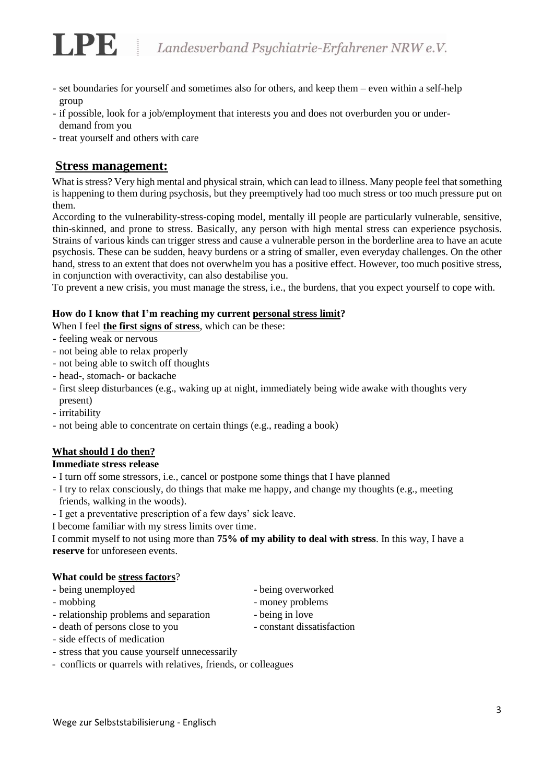- set boundaries for yourself and sometimes also for others, and keep them even within a self-help group
- if possible, look for a job/employment that interests you and does not overburden you or underdemand from you
- treat yourself and others with care

## **Stress management:**

What is stress? Very high mental and physical strain, which can lead to illness. Many people feel that something is happening to them during psychosis, but they preemptively had too much stress or too much pressure put on them.

According to the vulnerability-stress-coping model, mentally ill people are particularly vulnerable, sensitive, thin-skinned, and prone to stress. Basically, any person with high mental stress can experience psychosis. Strains of various kinds can trigger stress and cause a vulnerable person in the borderline area to have an acute psychosis. These can be sudden, heavy burdens or a string of smaller, even everyday challenges. On the other hand, stress to an extent that does not overwhelm you has a positive effect. However, too much positive stress, in conjunction with overactivity, can also destabilise you.

To prevent a new crisis, you must manage the stress, i.e., the burdens, that you expect yourself to cope with.

#### **How do I know that I'm reaching my current personal stress limit?**

When I feel **the first signs of stress**, which can be these:

- feeling weak or nervous
- not being able to relax properly
- not being able to switch off thoughts
- head-, stomach- or backache
- first sleep disturbances (e.g., waking up at night, immediately being wide awake with thoughts very present)
- irritability
- not being able to concentrate on certain things (e.g., reading a book)

#### **What should I do then?**

#### **Immediate stress release**

- I turn off some stressors, i.e., cancel or postpone some things that I have planned
- I try to relax consciously, do things that make me happy, and change my thoughts (e.g., meeting friends, walking in the woods).
- I get a preventative prescription of a few days' sick leave.
- I become familiar with my stress limits over time.

I commit myself to not using more than **75% of my ability to deal with stress**. In this way, I have a **reserve** for unforeseen events.

#### **What could be stress factors**?

- being unemployed being overworked
- 
- mobbing money problems
- relationship problems and separation being in love
	-
- 
- death of persons close to you constant dissatisfaction
- side effects of medication
- stress that you cause yourself unnecessarily
- conflicts or quarrels with relatives, friends, or colleagues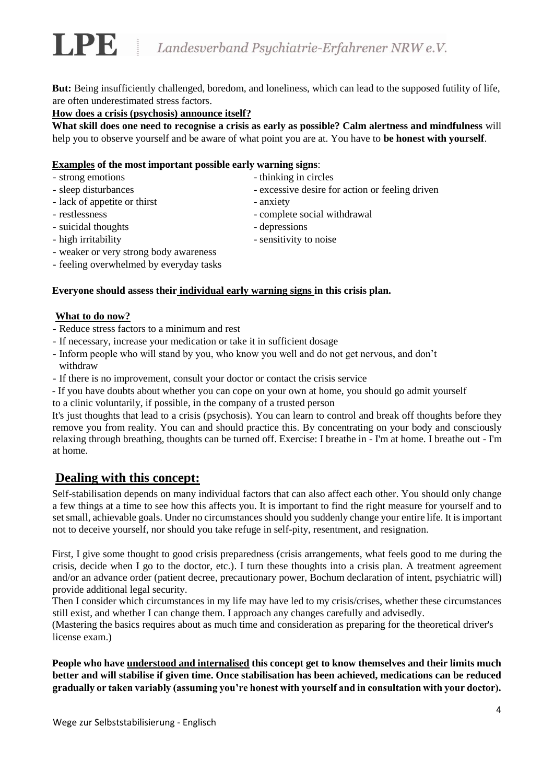**But:** Being insufficiently challenged, boredom, and loneliness, which can lead to the supposed futility of life, are often underestimated stress factors.

#### **How does a crisis (psychosis) announce itself?**

**What skill does one need to recognise a crisis as early as possible? Calm alertness and mindfulness** will help you to observe yourself and be aware of what point you are at. You have to **be honest with yourself**.

#### **Examples of the most important possible early warning signs**:

- strong emotions thinking in circles
- sleep disturbances excessive desire for action or feeling driven
- lack of appetite or thirst anxiety
	- restlessness complete social withdrawal
	- suicidal thoughts depressions
	-
	- high irritability  $\overline{\phantom{a}}$  sensitivity to noise
	- weaker or very strong body awareness
	- feeling overwhelmed by everyday tasks

#### **Everyone should assess their individual early warning signs in this crisis plan.**

#### **What to do now?**

- Reduce stress factors to a minimum and rest
- If necessary, increase your medication or take it in sufficient dosage
- Inform people who will stand by you, who know you well and do not get nervous, and don't withdraw
- If there is no improvement, consult your doctor or contact the crisis service
- If you have doubts about whether you can cope on your own at home, you should go admit yourself
- to a clinic voluntarily, if possible, in the company of a trusted person

It's just thoughts that lead to a crisis (psychosis). You can learn to control and break off thoughts before they remove you from reality. You can and should practice this. By concentrating on your body and consciously relaxing through breathing, thoughts can be turned off. Exercise: I breathe in - I'm at home. I breathe out - I'm at home.

# **Dealing with this concept:**

Self-stabilisation depends on many individual factors that can also affect each other. You should only change a few things at a time to see how this affects you. It is important to find the right measure for yourself and to set small, achievable goals. Under no circumstances should you suddenly change your entire life. It is important not to deceive yourself, nor should you take refuge in self-pity, resentment, and resignation.

First, I give some thought to good crisis preparedness (crisis arrangements, what feels good to me during the crisis, decide when I go to the doctor, etc.). I turn these thoughts into a crisis plan. A treatment agreement and/or an advance order (patient decree, precautionary power, Bochum declaration of intent, psychiatric will) provide additional legal security.

Then I consider which circumstances in my life may have led to my crisis/crises, whether these circumstances still exist, and whether I can change them. I approach any changes carefully and advisedly.

(Mastering the basics requires about as much time and consideration as preparing for the theoretical driver's license exam.)

**People who have understood and internalised this concept get to know themselves and their limits much better and will stabilise if given time. Once stabilisation has been achieved, medications can be reduced gradually or taken variably (assuming you're honest with yourself and in consultation with your doctor).**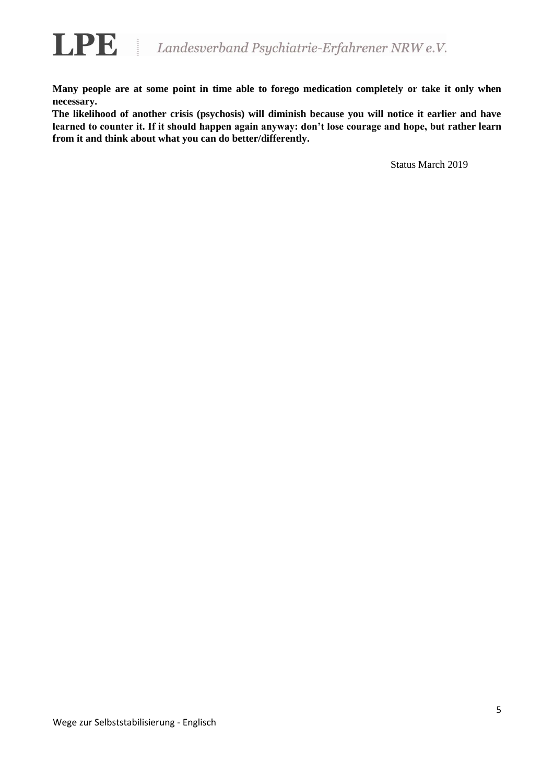

**Many people are at some point in time able to forego medication completely or take it only when necessary.**

**The likelihood of another crisis (psychosis) will diminish because you will notice it earlier and have learned to counter it. If it should happen again anyway: don't lose courage and hope, but rather learn from it and think about what you can do better/differently.** 

Status March 2019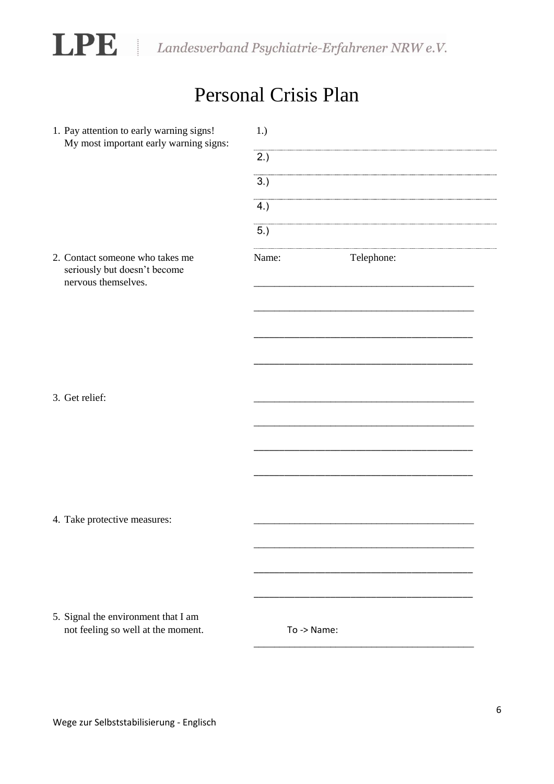

LPE Landesverband Psychiatrie-Erfahrener NRW e.V.

# Personal Crisis Plan

| 1. Pay attention to early warning signs!<br>My most important early warning signs:     | 1.)   |             |  |  |
|----------------------------------------------------------------------------------------|-------|-------------|--|--|
|                                                                                        | 2.)   |             |  |  |
|                                                                                        | 3.)   |             |  |  |
|                                                                                        | 4.)   |             |  |  |
|                                                                                        | 5.)   |             |  |  |
| 2. Contact someone who takes me<br>seriously but doesn't become<br>nervous themselves. | Name: | Telephone:  |  |  |
|                                                                                        |       |             |  |  |
|                                                                                        |       |             |  |  |
|                                                                                        |       |             |  |  |
|                                                                                        |       |             |  |  |
| 3. Get relief:                                                                         |       |             |  |  |
|                                                                                        |       |             |  |  |
|                                                                                        |       |             |  |  |
|                                                                                        |       |             |  |  |
| 4. Take protective measures:                                                           |       |             |  |  |
|                                                                                        |       |             |  |  |
|                                                                                        |       |             |  |  |
|                                                                                        |       |             |  |  |
| 5. Signal the environment that I am                                                    |       |             |  |  |
| not feeling so well at the moment.                                                     |       | To -> Name: |  |  |